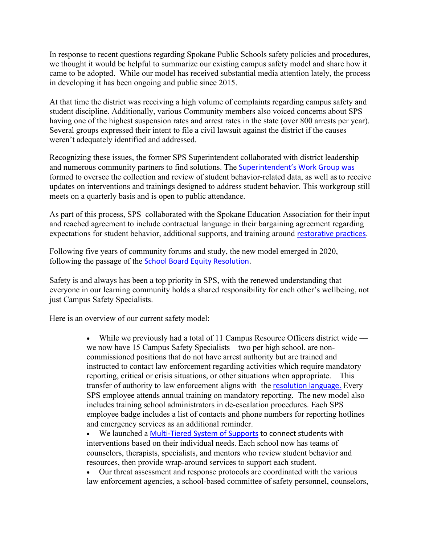In response to recent questions regarding Spokane Public Schools safety policies and procedures, we thought it would be helpful to summarize our existing campus safety model and share how it came to be adopted. While our model has received substantial media attention lately, the process in developing it has been ongoing and public since 2015.

At that time the district was receiving a high volume of complaints regarding campus safety and student discipline. Additionally, various Community members also voiced concerns about SPS having one of the highest suspension rates and arrest rates in the state (over 800 arrests per year). Several groups expressed their intent to file a civil lawsuit against the district if the causes weren't adequately identified and addressed.

Recognizing these issues, the former SPS Superintendent collaborated with district leadership and numerous community partners to find solutions. The [Superintendent's Work Group](https://www.spokaneschools.org/Page/360) was formed to oversee the collection and review of student behavior-related data, as well as to receive updates on interventions and trainings designed to address student behavior. This workgroup still meets on a quarterly basis and is open to public attendance.

As part of this process, SPS collaborated with the Spokane Education Association for their input and reached agreement to include contractual language in their bargaining agreement regarding expectations for student behavior, additional supports, and training around [restorative practices.](https://www.spokaneschools.org/Page/1983)

Following five years of community forums and study, the new model emerged in 2020, following the passage of the [School Board Equity Resolution.](https://www.spokaneschools.org/Equity)

Safety is and always has been a top priority in SPS, with the renewed understanding that everyone in our learning community holds a shared responsibility for each other's wellbeing, not just Campus Safety Specialists.

Here is an overview of our current safety model:

• While we previously had a total of 11 Campus Resource Officers district wide we now have 15 Campus Safety Specialists – two per high school. are noncommissioned positions that do not have arrest authority but are trained and instructed to contact law enforcement regarding activities which require mandatory reporting, critical or crisis situations, or other situations when appropriate. This transfer of authority to law enforcement aligns with the [resolution language.](https://www.spokaneschools.org/site/handlers/filedownload.ashx?moduleinstanceid=21172&dataid=22126&FileName=2020-11%20Equity%20Policy%2006.10.2020%20.pdf) Every SPS employee attends annual training on mandatory reporting. The new model also includes training school administrators in de-escalation procedures. Each SPS employee badge includes a list of contacts and phone numbers for reporting hotlines and emergency services as an additional reminder.

• We launched a [Multi-Tiered System of Supports](https://www.spokaneschools.org/Page/1935) to connect students with interventions based on their individual needs. Each school now has teams of counselors, therapists, specialists, and mentors who review student behavior and resources, then provide wrap-around services to support each student.

• Our threat assessment and response protocols are coordinated with the various law enforcement agencies, a school-based committee of safety personnel, counselors,